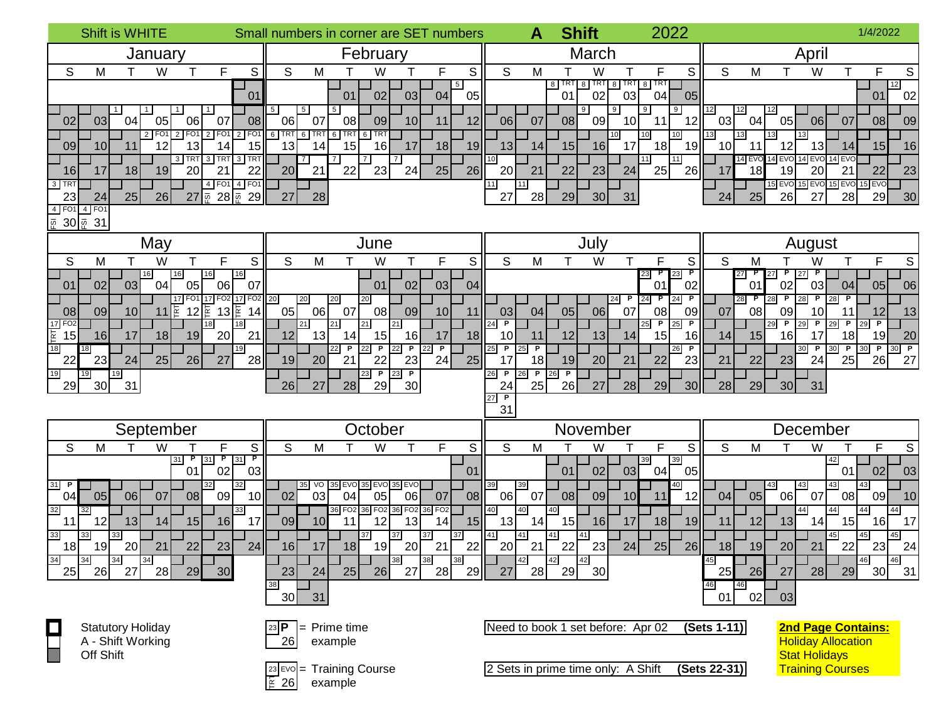| <b>Shift is WHITE</b>                                                                                                                                                                                                                                                                                                                                     | Small numbers in corner are SET numbers                                                                                                                                                                                                                                                                                                                                                                     | <b>Shift</b><br>Α                                                                                                                                                                                                                  | 2022                                                                            | 1/4/2022                                                                                                                                                                                                                                                          |
|-----------------------------------------------------------------------------------------------------------------------------------------------------------------------------------------------------------------------------------------------------------------------------------------------------------------------------------------------------------|-------------------------------------------------------------------------------------------------------------------------------------------------------------------------------------------------------------------------------------------------------------------------------------------------------------------------------------------------------------------------------------------------------------|------------------------------------------------------------------------------------------------------------------------------------------------------------------------------------------------------------------------------------|---------------------------------------------------------------------------------|-------------------------------------------------------------------------------------------------------------------------------------------------------------------------------------------------------------------------------------------------------------------|
| January                                                                                                                                                                                                                                                                                                                                                   | February                                                                                                                                                                                                                                                                                                                                                                                                    | March                                                                                                                                                                                                                              |                                                                                 | April                                                                                                                                                                                                                                                             |
| S<br>W<br>M<br>F<br>S                                                                                                                                                                                                                                                                                                                                     | S<br>S<br>M<br>F                                                                                                                                                                                                                                                                                                                                                                                            | S<br>M<br>W                                                                                                                                                                                                                        | $\mathsf S$<br>S                                                                | W<br>M<br>F<br>S                                                                                                                                                                                                                                                  |
| 01<br>05<br>02<br>03<br>04<br>06<br>07<br> 08 <br>2 FO1<br>$2$ FO1<br>$2$ FO1<br>$2$ FO1<br>12<br>13<br>15<br> 09 <br>11<br>14<br>10I<br>$3$ TRT<br>$3$ TRT<br>$3$ TRT<br>18<br>19<br>22<br>16<br>17<br>-20<br>21<br>4 FO1<br>4 FO1<br>3 TRT<br>$27\overline{5}$<br>$28\overline{5}$ 29<br>23<br>26<br>25<br>24<br>4 FO1<br>$4$ FO1<br>$30\frac{1}{6}$ 31 | 5 <sup>5</sup><br>05<br>01<br> 02 <br> 03 <br>04<br>$5\overline{)}$<br>06<br>07<br>08<br>12<br> 09 <br>10<br>11<br>6 TRT 6 TRT<br>$\overline{\phantom{a}}$ 6 TRT<br>$6$ TRT<br>15<br>13<br>14<br>18<br>19<br>16<br>17<br>$\overline{7}$<br>$\overline{7}$<br>22<br>25<br>26<br>23<br>24<br>20<br>21<br>27<br>28                                                                                             | <b>8 TRT 8 TRT 8 TRT</b><br>$\boxed{8}$ TRT<br>02<br>03<br>04<br>01<br>06<br>07<br>08<br>09<br>10<br>11<br>18<br>13<br> 14 <br>15<br>16<br>17<br>25<br>20<br>21<br>22<br>23<br>24<br>11<br>28<br>29<br>30 <sub>l</sub><br>31<br>27 | 05 <br>12<br> 03 <br>12 <sub>l</sub><br>13<br>19<br>10l<br>11<br>26<br>17<br>24 | 12<br>02<br>01<br>09<br>04<br>05<br>06<br>07<br>08<br>16<br>131<br>14<br>15<br>-11<br>14 EVC<br>14 EVC<br><b>14 EVO</b><br>14 EVO<br>23<br>20<br>18<br>19<br>21<br>22<br>15 EVO 15 EVO 15 EVO 15 EVC<br>30<br>26<br>27<br>28<br>25<br>29                          |
| May                                                                                                                                                                                                                                                                                                                                                       | June                                                                                                                                                                                                                                                                                                                                                                                                        | July                                                                                                                                                                                                                               |                                                                                 | August                                                                                                                                                                                                                                                            |
| S<br>W<br>S<br>F<br>M                                                                                                                                                                                                                                                                                                                                     | S<br>F<br>M<br>S<br>W                                                                                                                                                                                                                                                                                                                                                                                       | S<br>M<br>W<br>F                                                                                                                                                                                                                   | S<br>S                                                                          | S<br>F<br>W                                                                                                                                                                                                                                                       |
| 16<br>01<br>02<br>03<br>04<br>05<br>06<br>07                                                                                                                                                                                                                                                                                                              | 02 <br>03<br>04<br>01                                                                                                                                                                                                                                                                                                                                                                                       | 23<br>01                                                                                                                                                                                                                           | 02                                                                              | $27$ P<br>06<br>03<br>04<br>05<br>01<br>02                                                                                                                                                                                                                        |
| 17 FO1 17 FO2 17 FO2<br>RT<br>$13\overline{\mathbb{E}}$<br>$11\,\mathrm{E}$<br>08<br>09<br>12<br>10<br>14<br>17 FO <sub>2</sub><br>ГRТ<br>15<br>16<br>17<br>18<br>19<br>20<br>21<br>18<br>19<br>18<br>25<br>26<br>27<br>28<br>24<br>23<br>19<br>19<br>19                                                                                                  | 20<br> 09 <br>05<br>06<br>08<br>07<br>10<br>11<br>12<br>13<br>17<br>18<br>14<br>15<br>16<br>$\overline{P}$<br>P<br>P<br>P<br>22<br>24<br>25<br>19<br>20<br>21<br>22<br>23<br>$\overline{P}$<br>$23$ P                                                                                                                                                                                                       | $24$ P $24$<br>04<br>05<br>06<br>08<br>03<br>07<br>$\overline{P}$<br>12<br>15<br>11<br>13<br>14<br>10I<br>25<br>P<br>P<br>25<br>19<br>18<br>20<br>21<br>22<br>$\overline{P}$<br>$\overline{P}$<br>$26$ P<br>26<br>26<br>28         | $\overline{P}$<br>09<br>07<br>P<br>16<br>14<br>P<br>23<br>21                    | $28$ P<br>28 P<br>28<br>P<br>$\mathsf{P}$<br>28<br>13<br>08<br>09<br>10<br>12<br>P.<br>29<br>29<br>20<br>15<br>18<br>19<br>16<br>17<br>$30$ P<br>P<br>P.<br>27<br>24<br>25<br>26<br>22<br>23                                                                      |
| 29<br>30<br>31                                                                                                                                                                                                                                                                                                                                            | 27<br>28<br>29<br>26<br>30 <sup>1</sup>                                                                                                                                                                                                                                                                                                                                                                     | 25<br>26<br>27<br>29<br>24<br>27 P<br>31                                                                                                                                                                                           | 28<br>30 <sub>l</sub>                                                           | 29<br>30<br>31                                                                                                                                                                                                                                                    |
| September                                                                                                                                                                                                                                                                                                                                                 | October                                                                                                                                                                                                                                                                                                                                                                                                     | November                                                                                                                                                                                                                           |                                                                                 | December                                                                                                                                                                                                                                                          |
| S<br>$\overline{M}$<br>$\overline{s}$<br>W<br>F<br>P<br>$31$ P<br>31<br>31<br>02<br>03<br>01<br>06<br>07<br>09<br>05<br>08<br>10 <sup>1</sup><br>04<br>12<br>13<br>14<br>15<br>16<br>17<br>11<br>18<br>20<br>22<br>23<br>19<br>21<br>24<br>$\begin{array}{ c c }\n \hline\n & 34 \\ \hline\n & 25\n \end{array}$<br>$\frac{34}{26}$ 27<br>$28$ $29$ $30$  | S<br>F<br>S<br>M<br>W<br>01<br>35 EVO<br>02<br>03<br>04<br>07<br>08<br>05<br>06<br>FO <sub>2</sub><br>36 FO <sub>2</sub><br>36 FO <sub>2</sub><br>36 FO <sub>2</sub><br>09<br>15<br>11<br>10<br> 14 <br>12<br> 13 <br>21<br>22<br>16 <sup>l</sup><br>18<br>20<br>19<br>17<br>$\frac{38}{26}$ 27<br>$\begin{array}{c} \begin{array}{c} 38 \\ 28 \end{array} \end{array}$<br>25<br>23<br>24<br>38<br>30<br>31 | $\mathsf{S}$<br>M<br>W<br>F<br>03<br>04<br>02<br>01<br>07<br>08<br>09<br>06<br>10<br>11<br>15<br>14<br>16<br>17<br>18<br>13<br>21<br>22<br>23<br>24<br>20<br>25<br>42<br>42<br>$29^{-42}$<br>28<br>$^{\circ}$ 27<br>30             | S<br>S<br>05<br>12<br>04<br>19<br>11<br>26<br>18<br>45<br>25<br>46<br>46<br>01  | $\mathbb S$<br>M<br>W<br>F<br>42<br>03<br>02<br>01<br>43<br>06<br>07<br>08<br>09<br>10<br>05<br>44<br>12<br>17<br>15<br>13 <sub>l</sub><br>14<br>16<br>45<br>24<br>19<br>21<br>22<br>23<br><b>20</b><br>46<br>46<br>$30$ $31$<br>28<br>29<br>26<br>27<br>02<br>03 |
| <b>Statutory Holiday</b><br> <br> -<br>A - Shift Working<br>Off Shift                                                                                                                                                                                                                                                                                     | $=$ Prime time<br>$23$ P<br>example<br>26<br>$\frac{23 \text{ Fvo}}{26}$ = Training Course                                                                                                                                                                                                                                                                                                                  | Need to book 1 set before: Apr 02<br>2 Sets in prime time only: A Shift                                                                                                                                                            | (Sets 1-11)<br>(Sets 22-31)                                                     | <b>2nd Page Contains:</b><br><b>Holiday Allocation</b><br><b>Stat Holidays</b><br><b>Training Courses</b>                                                                                                                                                         |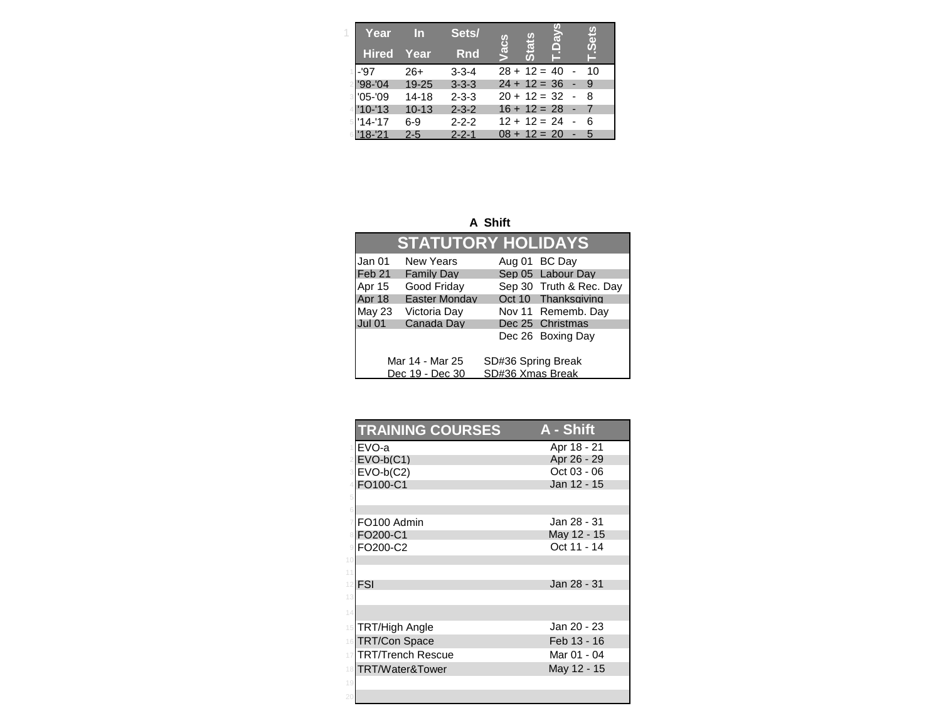| Year              | In.       | Sets/       |                    |                  |  |    |
|-------------------|-----------|-------------|--------------------|------------------|--|----|
| <b>Hired</b> Year |           | <b>Rnd</b>  | $\bar{\mathbf{e}}$ |                  |  | ശ് |
| $-97$             | 26+       | $3 - 3 - 4$ |                    | $28 + 12 = 40$   |  | 10 |
| $'98 - '04$       | $19 - 25$ | $3 - 3 - 3$ |                    | $24 + 12 = 36$   |  | 9  |
| $'05 - '09$       | $14 - 18$ | $2 - 3 - 3$ |                    | $20 + 12 = 32$ - |  | 8  |
| $'10-13$          | $10 - 13$ | $2 - 3 - 2$ |                    | $16 + 12 = 28$   |  |    |
| $'14-'17$         | $6-9$     | $2 - 2 - 2$ |                    | $12 + 12 = 24$   |  | 6  |
| $'18 - 21$        | $2 - 5$   | $2 - 2 - 1$ |                    | $08 + 12 = 20$   |  | 5  |

## **A Shift**

|                   | <b>STATUTORY HOLIDAYS</b>             |                  |                         |  |  |  |
|-------------------|---------------------------------------|------------------|-------------------------|--|--|--|
| Jan 01            | <b>New Years</b>                      |                  | Aug 01 BC Day           |  |  |  |
| Feb <sub>21</sub> | <b>Family Dav</b>                     |                  | Sep 05 Labour Day       |  |  |  |
| Apr 15            | Good Friday                           |                  | Sep 30 Truth & Rec. Day |  |  |  |
| Apr 18            | <b>Easter Mondav</b>                  |                  | Oct 10 Thanksgiving     |  |  |  |
| <b>May 23</b>     | Victoria Day                          |                  | Nov 11 Rememb. Day      |  |  |  |
| <b>Jul 01</b>     | Canada Dav                            |                  | Dec 25 Christmas        |  |  |  |
|                   |                                       |                  | Dec 26 Boxing Day       |  |  |  |
|                   | SD#36 Spring Break<br>Mar 14 - Mar 25 |                  |                         |  |  |  |
|                   | Dec 19 - Dec 30                       | SD#36 Xmas Break |                         |  |  |  |

| <b>TRAINING COURSES</b>      | A - Shift   |
|------------------------------|-------------|
| EVO-a                        | Apr 18 - 21 |
| $2$ EVO-b(C1)                | Apr 26 - 29 |
| IEVO-b(C2)                   | Oct 03 - 06 |
| 4 FO100-C1                   | Jan 12 - 15 |
| 5                            |             |
| 6                            |             |
| FO <sub>100</sub> Admin<br>7 | Jan 28 - 31 |
| <b>IFO200-C1</b>             | May 12 - 15 |
| <b>IFO200-C2</b>             | Oct 11 - 14 |
| 10                           |             |
| 11                           |             |
| 12 <b>FSI</b>                | Jan 28 - 31 |
| 13                           |             |
| 14                           |             |
| 15 TRT/High Angle            | Jan 20 - 23 |
| 16 TRT/Con Space             | Feb 13 - 16 |
| 17 TRT/Trench Rescue         | Mar 01 - 04 |
| 18 TRT/Water&Tower           | May 12 - 15 |
| 19                           |             |
| 20                           |             |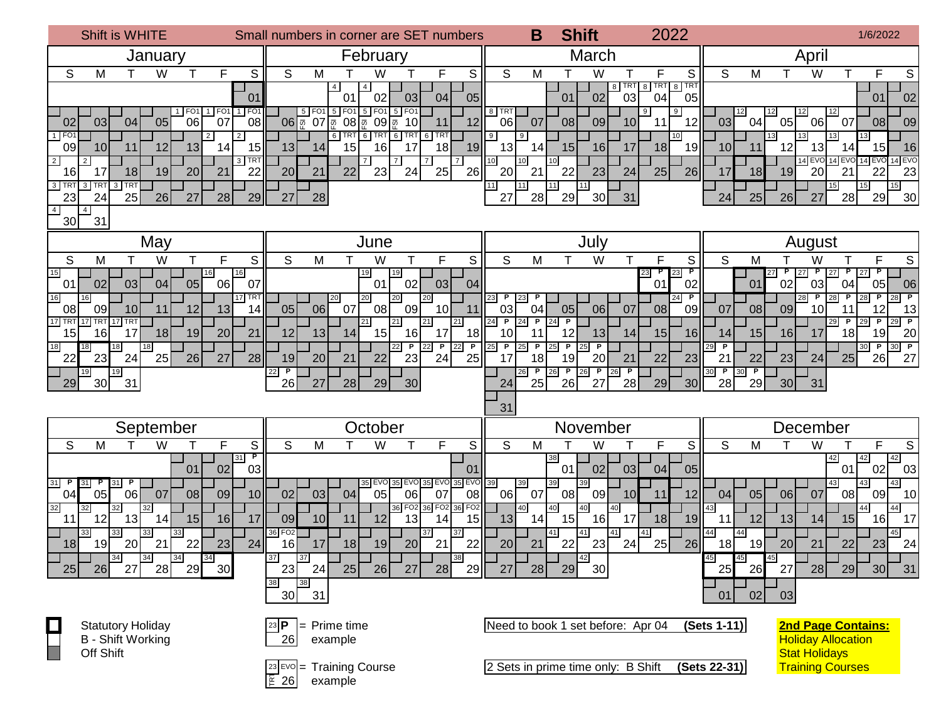| <b>Shift is WHITE</b>                                                                                                                                                                                                                                                                                                                                 | Small numbers in corner are SET numbers                                                                                                                                                                                                                                                                                                           | 2022<br><b>Shift</b><br>B                                                                                                                                                                                                                                                                                                      | 1/6/2022                                                                                                                                                                                                                                                                    |
|-------------------------------------------------------------------------------------------------------------------------------------------------------------------------------------------------------------------------------------------------------------------------------------------------------------------------------------------------------|---------------------------------------------------------------------------------------------------------------------------------------------------------------------------------------------------------------------------------------------------------------------------------------------------------------------------------------------------|--------------------------------------------------------------------------------------------------------------------------------------------------------------------------------------------------------------------------------------------------------------------------------------------------------------------------------|-----------------------------------------------------------------------------------------------------------------------------------------------------------------------------------------------------------------------------------------------------------------------------|
| January                                                                                                                                                                                                                                                                                                                                               | February                                                                                                                                                                                                                                                                                                                                          | March                                                                                                                                                                                                                                                                                                                          | April                                                                                                                                                                                                                                                                       |
| S<br>W<br>F<br>S<br>M<br>Т<br>01<br>1 FO1<br>$1$ FO1<br>05<br>07<br> 08 <br>06<br>02<br>03<br>04<br>1 FO1<br>$2 \mid$<br>09<br>13<br>14<br>15<br>101<br>11<br>12<br>3 TRT<br>19<br>20<br>16<br>18<br>21<br><b>TRT</b><br><b>TRT</b><br>$3$ TRT<br>23<br>29<br>24<br>25<br>26<br>28<br>27<br>$\overline{4}$<br>$\overline{4}$<br>30 <sub>l</sub><br>31 | S<br>S<br>F<br>M<br>w<br>05<br>02<br>03<br>04<br>01<br>5 FO1<br>FO <sub>1</sub><br>$5$ FO1<br>$06\sqrt{5}$ 07 $\sqrt{5}$<br>$\overline{08}$ $\overline{5}$<br>09 $\frac{1}{2}$<br>12<br>10 <sup>1</sup><br>11<br>6 TRT<br>$6$ TRT $6$ TRT $6$ TRT<br>18<br>15<br>19<br>13<br>16<br>14<br>17<br>25<br>26<br>22<br>23<br>24<br>20<br>21<br>27<br>28 | S<br>S<br>M<br>W<br>$8$ TRT $8$ TRT<br>$8$ TRT<br>02<br>03<br>04<br>05<br>01<br>8 TRT<br>9<br>06<br>07<br>08<br>09<br>10<br>11<br>12<br>9<br>9<br>10<br>14<br>15<br>16<br>17<br>18<br>19<br>13<br>10 <sup>1</sup><br>22<br>23<br>24<br>25<br>26<br>20<br>21<br>11<br>11<br>11<br>11<br>28<br>29<br>30 <sup>1</sup><br>31<br>27 | $\mathsf{S}$<br>W<br>S<br>М<br>F<br>02<br>01<br>09<br>03<br>06<br>08<br>04<br>05<br>07<br>13<br>16<br>13<br>10<br>12<br>14<br>15<br>11<br>14 EVO 14 EVO 14 EVO 14 EVO<br>22<br>17<br>18<br>19<br>20<br>21<br>23<br>15<br>15<br>15<br>30<br>24<br>25<br>27<br>28<br>29<br>26 |
| May                                                                                                                                                                                                                                                                                                                                                   | June                                                                                                                                                                                                                                                                                                                                              | July                                                                                                                                                                                                                                                                                                                           | August                                                                                                                                                                                                                                                                      |
| S<br>S<br>W<br>M<br>F                                                                                                                                                                                                                                                                                                                                 | S<br>F<br>S<br>M<br>W                                                                                                                                                                                                                                                                                                                             | S<br>W<br>S<br>M                                                                                                                                                                                                                                                                                                               | S<br>S<br>W<br>F<br>м                                                                                                                                                                                                                                                       |
| 16<br>15<br>16<br>07<br>06<br>01<br>03<br>04<br>05<br>02                                                                                                                                                                                                                                                                                              | 19<br>04<br>02<br>03<br>01                                                                                                                                                                                                                                                                                                                        | $\overline{\phantom{a}}$<br>23<br>23<br>02<br>01                                                                                                                                                                                                                                                                               | 27<br>06<br>03<br>05<br>01<br>02<br>04                                                                                                                                                                                                                                      |
| 17 TRT<br>16<br>08<br>09<br>12<br>13<br>10<br>11<br>14<br>17 TRT<br>17 TRT<br>17 TRT<br>19<br>20<br>21<br>15<br>16<br>18<br>17<br>25<br>27<br>28<br>22<br>24<br>26<br>23<br>19<br>19<br>29<br>30<br>31                                                                                                                                                | 20<br>20<br>07<br>08<br>06<br>09<br>05<br>10 <sup>1</sup><br>11<br>12<br>15<br>17<br>18<br>13<br>14<br>16<br>P<br>$\overline{\phantom{a}}$<br>24<br>25<br>19<br>20<br>21<br>22<br>23<br>22<br>28<br>26<br>27<br>29<br>30                                                                                                                          | $\overline{P}$<br>24<br>04<br>06<br>07<br>08<br>09<br>03<br>05<br>P<br>P<br>P<br>24<br>12<br>13<br>14<br>15<br>16<br>11<br>10<br>P<br>25<br>22<br>23<br>19<br>20<br>21<br>18<br>17<br>$\blacksquare$<br>P.<br>P.<br>P<br>26<br>26<br>26<br>28<br>25<br>26<br>29<br>30 <sup>°</sup><br>27<br>24                                 | P<br>P.<br>P<br>28<br>P<br>28<br>28<br>07<br>08<br>13<br>09<br>10<br>11<br>12<br>P<br>P<br>20<br>14<br>15<br>18<br>16<br>17<br>19<br>$30$ P<br>P<br>27<br>21<br>22<br>23<br>24<br>25<br>26<br>$\overline{P}$<br>28<br>29<br>31<br>30 <sup>1</sup>                           |
|                                                                                                                                                                                                                                                                                                                                                       |                                                                                                                                                                                                                                                                                                                                                   | 31                                                                                                                                                                                                                                                                                                                             |                                                                                                                                                                                                                                                                             |
| September<br>T                                                                                                                                                                                                                                                                                                                                        | October                                                                                                                                                                                                                                                                                                                                           | November<br>S<br>F                                                                                                                                                                                                                                                                                                             | December<br>S                                                                                                                                                                                                                                                               |
| S<br>S<br>M<br>W<br>F<br>$31$ P<br>03<br>01<br>02<br>P<br>31<br>07<br>08<br>06<br>09<br>04<br>05<br>10<br>16<br>17<br>15<br>131<br>14<br>11<br>12<br>18<br>20<br>21<br>22<br>23<br>24<br>19                                                                                                                                                           | S<br>F<br>M<br>W<br>S<br>01<br>35 EVC<br>35 EVC<br>35 EVO<br>35 EVO<br>04<br>05<br>06<br>07<br>02<br>03<br>08<br>36 FO <sub>2</sub><br>36 FO <sub>2</sub><br>36 FO <sub>2</sub><br>09<br>14<br>10<br>11<br>12<br>15<br>13<br>36 FO <sub>2</sub><br>18<br>19<br>20<br>22<br>16<br>21<br>17                                                         | S<br>M<br>W<br>38<br>05<br>02<br>03<br>01<br>04<br>07<br>08<br>06<br>09<br>10<br>12<br>11<br>40<br>40<br>19<br>14<br>15<br>17<br>18<br>13<br>16<br>26<br>20<br>21<br>22<br>23<br>25<br>24                                                                                                                                      | $\mathbb S$<br>M<br>W<br>F<br>42<br>42<br>03<br>02<br>01<br>05<br>07<br>08<br>10<br>04<br>06<br>09<br>44<br>44<br>17<br>12<br>11<br>13<br>14<br>15<br>16<br>18<br>19<br>23<br>24<br>20<br>21<br>22<br>45<br>45<br>45                                                        |
| $\begin{array}{ c c c }\n\hline\n & 27 & 28\n\end{array}$<br>$\frac{4}{1}$ 29 $\frac{34}{1}$ 30<br>26<br>25<br><b>Statutory Holiday</b><br><b>B</b> - Shift Working<br>Off Shift                                                                                                                                                                      | 37<br>25<br>$26$ 27<br>28<br>29<br>23<br>24<br>38<br>38<br>30 <sup>°</sup><br>31<br>$23$ $\overline{P}$<br>$=$ Prime time<br>26<br>example<br><b>Training Course</b><br>$\frac{23}{\frac{52}{12}}$ = 26<br>example                                                                                                                                | 27<br>28<br>29<br>30 <sup>°</sup><br>Need to book 1 set before: Apr 04<br>2 Sets in prime time only: B Shift                                                                                                                                                                                                                   | 25<br>26<br>27<br>28<br>29<br>$30\vert$ 31<br>01<br>02<br>03<br>(Sets 1-11)<br><b>2nd Page Contains:</b><br><b>Holiday Allocation</b><br><b>Stat Holidays</b><br><b>Training Courses</b><br>(Sets 22-31)                                                                    |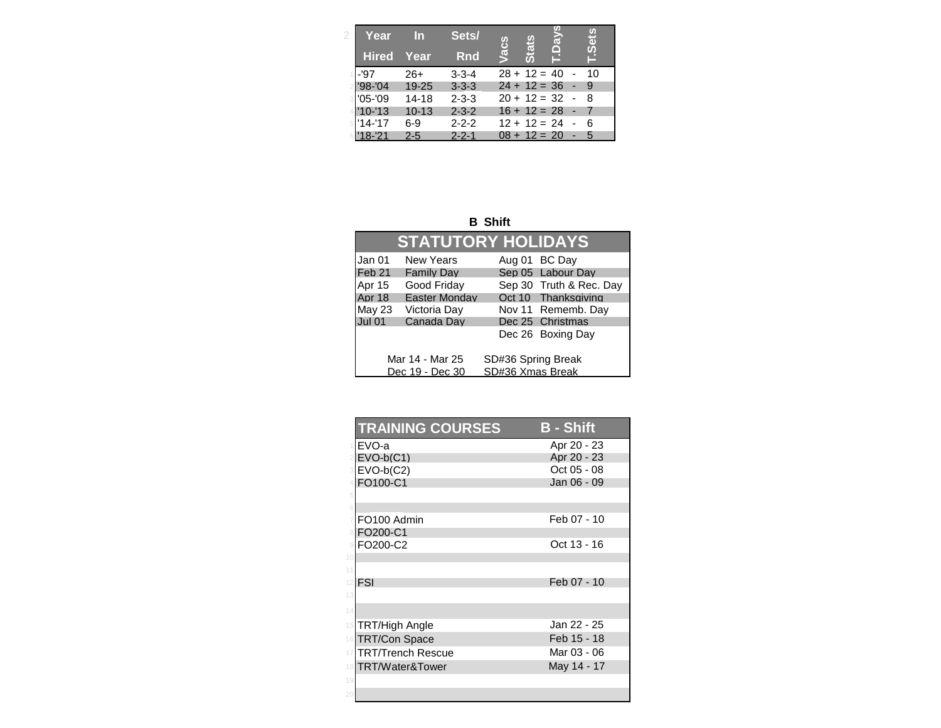| Year              | 4n        | Sets/       | ပ္ပ        |                  |  |    |
|-------------------|-----------|-------------|------------|------------------|--|----|
| <b>Hired</b> Year |           | <b>Rnd</b>  | <u>ie/</u> |                  |  | Φ  |
| $-97$             | $26+$     | $3 - 3 - 4$ |            | $28 + 12 = 40$   |  | 10 |
| $'98 - '04$       | $19 - 25$ | $3 - 3 - 3$ |            | $24 + 12 = 36$   |  | 9  |
| $'05 - 09$        | $14 - 18$ | $2 - 3 - 3$ |            | $20 + 12 = 32$ - |  | 8  |
| $'10-13$          | $10 - 13$ | $2 - 3 - 2$ |            | $16 + 12 = 28$   |  |    |
| $'14-'17$         | 6-9       | $2 - 2 - 2$ |            | $12 + 12 = 24$   |  | 6  |
|                   | $2 - 5$   | $2 - 2 - 1$ |            | $08 + 12 = 20$   |  | 5  |

## **B Shift**

|                                       | <b>STATUTORY HOLIDAYS</b> |                  |                         |  |  |
|---------------------------------------|---------------------------|------------------|-------------------------|--|--|
| Jan 01                                | New Years                 |                  | Aug 01 BC Day           |  |  |
| Feb <sub>21</sub>                     | <b>Family Dav</b>         |                  | Sep 05 Labour Day       |  |  |
| Apr 15                                | Good Friday               |                  | Sep 30 Truth & Rec. Day |  |  |
| Apr 18                                | <b>Easter Mondav</b>      |                  | Oct 10 Thanksgiving     |  |  |
| May 23                                | Victoria Day              |                  | Nov 11 Rememb. Day      |  |  |
| <b>Jul 01</b>                         | Canada Day                |                  | Dec 25 Christmas        |  |  |
|                                       |                           |                  | Dec 26 Boxing Day       |  |  |
| SD#36 Spring Break<br>Mar 14 - Mar 25 |                           |                  |                         |  |  |
|                                       | Dec 19 - Dec 30           | SD#36 Xmas Break |                         |  |  |

|                | <b>TRAINING COURSES</b> | B - Shift   |
|----------------|-------------------------|-------------|
|                | EVO-a                   | Apr 20 - 23 |
|                | $2$ EVO-b(C1)           | Apr 20 - 23 |
|                | SEVO-b(C2)              | Oct 05 - 08 |
|                | FO100-C1                | Jan 06 - 09 |
| 5              |                         |             |
| 6              |                         |             |
| 7              | FO100 Admin             | Feb 07 - 10 |
| 8              | FO200-C1                |             |
| $\overline{9}$ | FO200-C2                | Oct 13 - 16 |
| 10             |                         |             |
| 11             |                         |             |
| 12             | IFSI                    | Feb 07 - 10 |
| 13             |                         |             |
| 14             |                         |             |
|                | 15 TRT/High Angle       | Jan 22 - 25 |
|                | 16 TRT/Con Space        | Feb 15 - 18 |
|                | 17 TRT/Trench Rescue    | Mar 03 - 06 |
|                | 18 TRT/Water&Tower      | May 14 - 17 |
| 19             |                         |             |
| 20             |                         |             |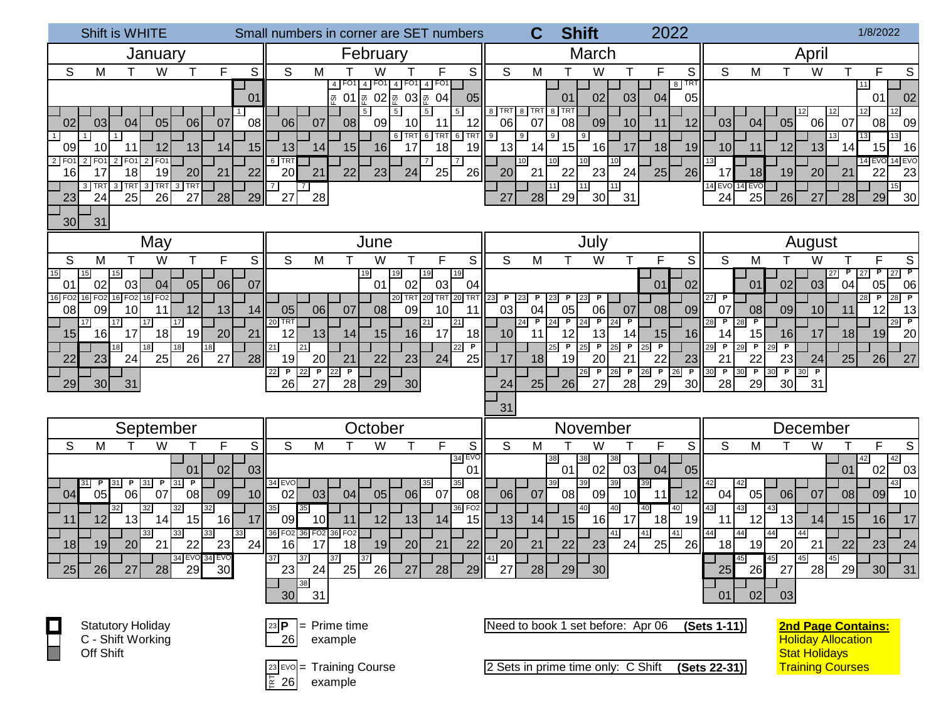| Shift is WHITE                                                                                                                                                                                                           |                                                       | Small numbers in corner are SET numbers                                                                                                                                                                                                                                                                                                 | C                                                            | <b>Shift</b>                                                                                                                  | 2022                                                                                                           |                                                                                                                                                      | 1/8/2022                                                                                                                                                                            |
|--------------------------------------------------------------------------------------------------------------------------------------------------------------------------------------------------------------------------|-------------------------------------------------------|-----------------------------------------------------------------------------------------------------------------------------------------------------------------------------------------------------------------------------------------------------------------------------------------------------------------------------------------|--------------------------------------------------------------|-------------------------------------------------------------------------------------------------------------------------------|----------------------------------------------------------------------------------------------------------------|------------------------------------------------------------------------------------------------------------------------------------------------------|-------------------------------------------------------------------------------------------------------------------------------------------------------------------------------------|
| January                                                                                                                                                                                                                  |                                                       | February                                                                                                                                                                                                                                                                                                                                |                                                              | March                                                                                                                         |                                                                                                                |                                                                                                                                                      | April                                                                                                                                                                               |
| S<br>W<br>F<br>M<br>07<br>02<br>03<br>04<br>05<br>06                                                                                                                                                                     | S<br>01<br>08                                         | S<br>S<br>M<br>F<br>W<br>4 FO1 4 FO1 4 FO1<br>$4$ FO1<br>$\bar{p}$ 01 $\bar{p}$ 02 $\bar{p}$ 03 $\bar{p}$ 04<br>05<br>5<br>5 <sup>5</sup><br>08<br>06<br>07<br>09<br>10I<br>12 I<br>11                                                                                                                                                  | S<br>M<br>8 TRT<br>8 TRT<br>07<br>06                         | W<br>02<br>03<br>01<br><b>TRT</b><br>8 <sup>1</sup><br>08<br>09<br>10                                                         | F<br>S<br>$8$ TRT<br>05<br>04<br>12<br>11                                                                      | S<br>M<br>03<br>05<br>04                                                                                                                             | S<br>W<br>11<br> 02 <br>01<br>09<br>06<br>08<br>07                                                                                                                                  |
| $\vert$ 1<br>09<br>10<br>12<br>13<br>14<br>11<br>2 FO1<br>$2$ FO1<br>$2$ FO1<br>2 FO1<br>16<br>19<br>20<br>21<br>17<br>18<br>$3$ TRT $3$ TRT<br>3 TRT<br>$3$ TRT<br>28<br>23<br>25<br>26<br>27<br>24                     | 15<br>22<br>29                                        | $6$ TRT<br>$6$ TRT<br><b>TRT</b><br>6<br>13<br>15<br>18<br>19<br>14<br>16<br>17<br>$6$ TRT<br>21<br>22<br>24<br>25<br>20<br>23<br>26<br>$\overline{7}$<br>$\overline{7}$<br>28<br>27                                                                                                                                                    | 9<br>13<br>14<br>20<br>21<br>28<br>27                        | 15<br>16<br>17<br>23<br>24<br>22<br>  11<br>11<br>29<br>30 <sup>1</sup><br>31                                                 | 18<br>19<br>25<br>26                                                                                           | 10<br>12<br>11<br>18<br>19<br>171<br>14 EVO 14 EVO<br>24<br>25<br>26                                                                                 | 13<br>16<br>13<br>15<br>14<br><b>14 EVO</b><br><b>14 EVO</b><br>22<br>20<br>23<br>21<br>15<br>30<br>27<br>28<br>29                                                                  |
| 30 <sub>1</sub><br>31<br>May                                                                                                                                                                                             |                                                       | June                                                                                                                                                                                                                                                                                                                                    |                                                              | July                                                                                                                          |                                                                                                                |                                                                                                                                                      | August                                                                                                                                                                              |
| W<br>F<br>S                                                                                                                                                                                                              | S                                                     | S<br>M<br>S<br>W                                                                                                                                                                                                                                                                                                                        | S<br>Μ                                                       | W                                                                                                                             | E<br>S                                                                                                         | S<br>M                                                                                                                                               | W<br>S<br>F                                                                                                                                                                         |
| 15<br>04<br>05<br>06<br>01<br>02<br>03                                                                                                                                                                                   | 07                                                    | 19<br>19<br>19<br>02<br>04<br>03<br>01                                                                                                                                                                                                                                                                                                  |                                                              |                                                                                                                               | 02<br>01                                                                                                       | 01<br>02                                                                                                                                             | $27$ P<br>27<br>06<br>03<br>05<br>04                                                                                                                                                |
| 16 FO2 16 FO2 16 FO2 16 FO2<br>08<br>09<br>13<br>10<br>11<br>12<br>18<br>20<br>15<br>16<br>17<br>19<br>18<br>18<br>18<br>25<br>26<br>27<br>22<br>24<br>23<br>29<br>30 <sub>l</sub><br>31                                 | 14<br>21<br>28                                        | 20 TRT<br>20 TRT 20 TRT<br>06<br>07<br> 09 <br>05<br> 08 <br>10 <sup>1</sup><br>11<br><b>TRT</b><br>20<br>12<br>13<br>15<br>16<br>17<br>18<br>14<br>P<br>21<br>19<br>24<br>25<br>20<br>21<br>22<br>23<br>P<br>P<br>P<br>22<br>22<br>28<br>26<br>27<br>29<br>30                                                                          | 23<br>P<br>04<br>03<br>P<br>10<br>11<br>18<br>17<br>25<br>24 | P<br>05<br>06<br>- 07<br>24<br>12<br>13<br>14<br>P<br>25<br>19<br>21<br>20 <sub>1</sub><br>P<br>P<br>26<br>26<br>28<br>27     | 08 <sup>1</sup><br>09<br>15<br>16<br>P<br>22<br>23<br>$\overline{P}$<br>$\overline{P}$<br>26<br>26<br>29<br>30 | $27$ P<br>07<br>08<br>09<br>P<br>15<br>16<br>14<br>P<br>P<br>P<br>29<br>21<br>22<br>231<br>$\overline{P}$<br>$P$ 30 P<br>30<br>30<br>28<br>29<br>30I | $\overline{P}$<br>$28$ P<br>28<br>13<br>12<br>10I<br>11<br>$29$ P<br>20<br>18<br>19<br>17<br>27<br>24<br>25<br>26<br>$30$ P<br>31                                                   |
| September                                                                                                                                                                                                                |                                                       | October                                                                                                                                                                                                                                                                                                                                 | 31                                                           | November                                                                                                                      |                                                                                                                |                                                                                                                                                      | December                                                                                                                                                                            |
| S<br>F<br>M<br>W<br>01<br>02<br>P<br>31<br>09<br>05<br>06<br>07<br>08<br>04<br>32<br>15<br>16<br>11<br>12<br>13<br>14<br>22<br>23<br>18<br>19 <sup>°</sup><br>20<br>21<br>34 EVO 34 EVO<br>29 30<br>26<br>27<br>28<br>25 | S<br> 03 <br>10 <sup>1</sup><br>17<br>24 <sub>l</sub> | $\mathbb S$<br>W<br>F<br>S<br>M<br>34 EVO<br>01<br>35<br>02<br>08<br>03<br>04<br>06<br>07<br> 05 <br>36 FO <sub>2</sub><br>09<br>13<br>15<br>10<br>12<br>14<br>11<br>36 FO2 36 FO2<br>36 FO <sub>2</sub><br>16<br>18<br>20<br>22<br>17<br>19<br>21<br>37<br>37<br>37<br>37<br>25<br>$26$ 27<br> 29 <br>23<br>24<br>28<br>38<br>30<br>31 | S<br>M<br>06<br> 07 <br>13<br> 14 <br>21<br>20<br>27<br>28   | W<br>38<br>38<br>02<br> 03 <br>01<br>08<br>09<br>10<br>40<br>16<br>15<br>17<br>22<br>23<br><b>24</b><br>29<br>30 <sup>°</sup> | S<br>F<br>04<br>05<br>39<br>12<br>11<br>40<br>40<br>18<br>19<br>41<br>25<br><b>26</b>                          | S<br>M<br>42<br>05<br>04<br>06<br>43<br>13<br>12<br>11<br>44<br>44<br>44<br>18<br>19 <br>20<br>45<br>45<br>26<br>27<br>25<br>01<br>02<br>03          | F<br>S<br>W<br>42<br>42<br>$\lceil$ 03<br>01<br>02<br>43<br>10<br>07<br>09<br> 08 <br>17<br>14<br>15<br>16<br>24<br>21<br>22<br>23<br>45<br>45<br>28<br>$\overline{29}$<br>30<br>31 |
| <b>Statutory Holiday</b><br>C - Shift Working<br>Off Shift                                                                                                                                                               |                                                       | $23$ $\mathsf{P}$<br>$=$ Prime time<br>26<br>example<br>$23$ EVO = Training Course<br>$\overline{\mathbb{E}}$ 26<br>example                                                                                                                                                                                                             |                                                              | Need to book 1 set before: Apr 06<br>2 Sets in prime time only: C Shift                                                       |                                                                                                                | (Sets 1-11)<br>(Sets 22-31)                                                                                                                          | <b>2nd Page Contains:</b><br><b>Holiday Allocation</b><br><b>Stat Holidays</b><br><b>Training Courses</b>                                                                           |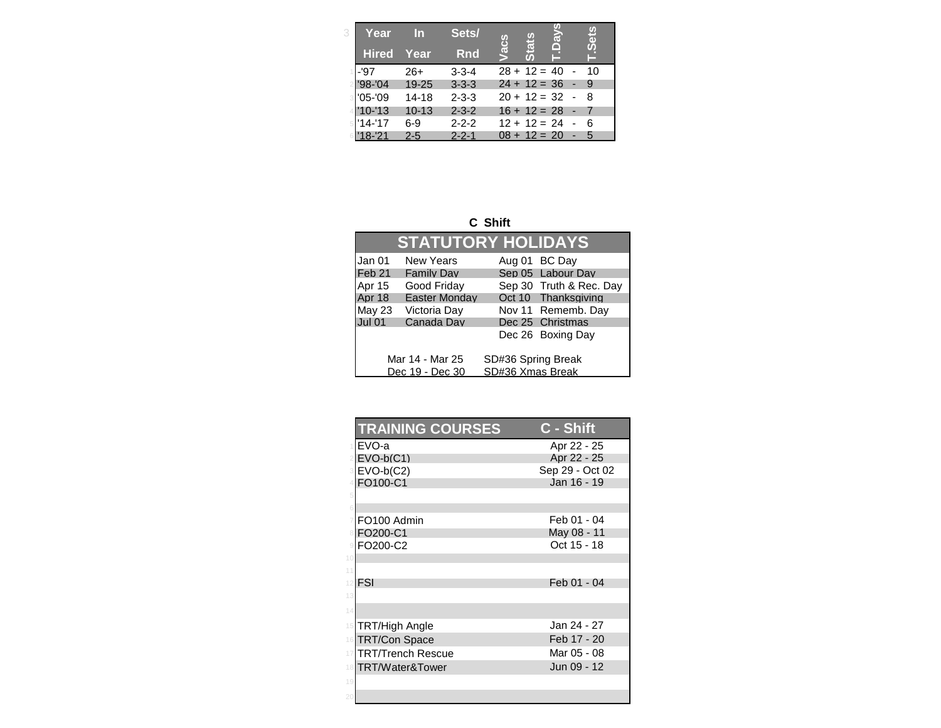| 3 | Year         | In.         | Sets/       | Ŀ         |                  |   |      |
|---|--------------|-------------|-------------|-----------|------------------|---|------|
|   | <b>Hired</b> | <b>Year</b> | <b>Rnd</b>  | $\bar{e}$ |                  | ≏ | Ō    |
|   | $-97$        | 26+         | $3 - 3 - 4$ |           | $28 + 12 = 40$   |   | 10   |
|   | $'98 - '04$  | $19 - 25$   | $3 - 3 - 3$ |           | $24 + 12 = 36$   |   | $-9$ |
|   | $'05 - 09$   | $14 - 18$   | $2 - 3 - 3$ |           | $20 + 12 = 32$ - |   | 8    |
|   | $'10-13$     | $10 - 13$   | $2 - 3 - 2$ |           | $16 + 12 = 28$   |   |      |
|   | $'14-'17$    | $6-9$       | $2 - 2 - 2$ |           | $12 + 12 = 24$   |   | 6    |
|   |              | $2 - 5$     | $2 - 2 - 1$ |           | $08 + 12 = 20$   |   | 5    |

## **C Shift**

|                                                                              | <b>STATUTORY HOLIDAYS</b> |  |                         |  |  |
|------------------------------------------------------------------------------|---------------------------|--|-------------------------|--|--|
| Jan 01                                                                       | New Years                 |  | Aug 01 BC Day           |  |  |
| Feb <sub>21</sub>                                                            | <b>Family Dav</b>         |  | Sep 05 Labour Day       |  |  |
| Apr 15                                                                       | Good Friday               |  | Sep 30 Truth & Rec. Day |  |  |
| Apr 18                                                                       | Easter Mondav             |  | Oct 10 Thanksgiving     |  |  |
| May 23                                                                       | Victoria Day              |  | Nov 11 Rememb. Day      |  |  |
| <b>Jul 01</b>                                                                | Canada Dav                |  | Dec 25 Christmas        |  |  |
|                                                                              |                           |  | Dec 26 Boxing Day       |  |  |
| SD#36 Spring Break<br>Mar 14 - Mar 25<br>SD#36 Xmas Break<br>Dec 19 - Dec 30 |                           |  |                         |  |  |

| <b>TRAINING COURSES</b>     | <b>C</b> - Shift |
|-----------------------------|------------------|
| EVO-a                       | Apr 22 - 25      |
| $EVO-b(C1)$                 | Apr 22 - 25      |
| $EVO-b(C2)$                 | Sep 29 - Oct 02  |
| FO100-C1                    | Jan 16 - 19      |
| 5                           |                  |
| 6                           |                  |
| FO100 Admin                 | Feb 01 - 04      |
| FO200-C1                    | May 08 - 11      |
| FO200-C2                    | Oct 15 - 18      |
| 10                          |                  |
| 11                          |                  |
| 12 <b>FSI</b>               | Feb 01 - 04      |
| 13                          |                  |
| 14                          |                  |
| <b>TRT/High Angle</b><br>15 | Jan 24 - 27      |
| 16 TRT/Con Space            | Feb 17 - 20      |
| 17 TRT/Trench Rescue        | Mar 05 - 08      |
| 18 TRT/Water&Tower          | Jun 09 - 12      |
| 19                          |                  |
| 20                          |                  |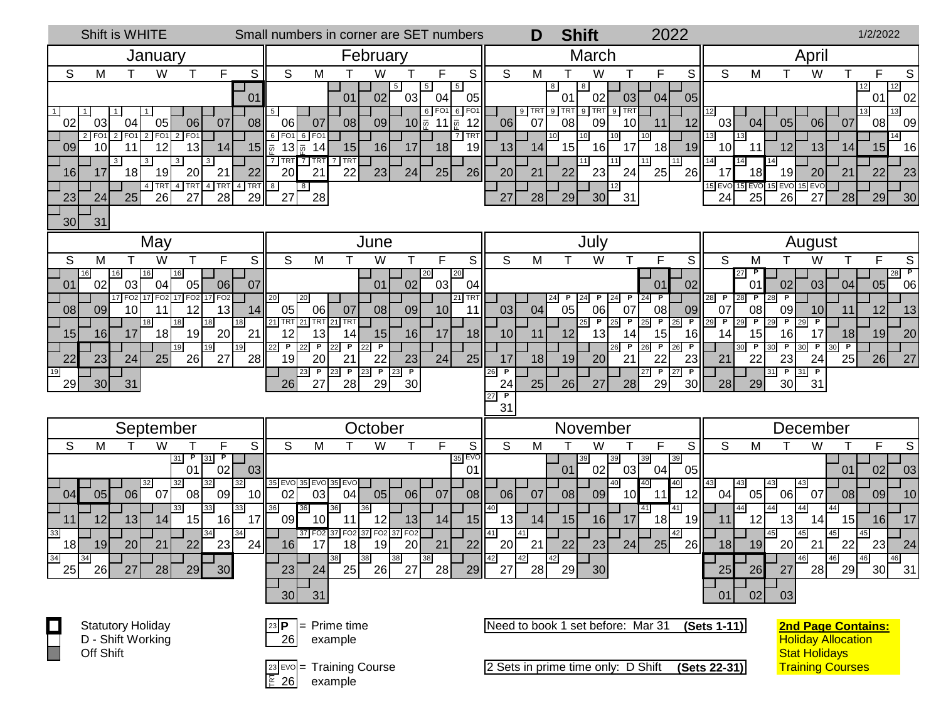| Shift is WHITE                                                                                                                                                                                                                                                            |                                                                                                                                                                                                         | Small numbers in corner are SET numbers                                                                                                                                               | D                                                                   | <b>Shift</b>                                                                                                                        | 2022                                                    |                                                                                                                     |                                                        | 1/2/2022                                                                  |
|---------------------------------------------------------------------------------------------------------------------------------------------------------------------------------------------------------------------------------------------------------------------------|---------------------------------------------------------------------------------------------------------------------------------------------------------------------------------------------------------|---------------------------------------------------------------------------------------------------------------------------------------------------------------------------------------|---------------------------------------------------------------------|-------------------------------------------------------------------------------------------------------------------------------------|---------------------------------------------------------|---------------------------------------------------------------------------------------------------------------------|--------------------------------------------------------|---------------------------------------------------------------------------|
| January                                                                                                                                                                                                                                                                   |                                                                                                                                                                                                         | February                                                                                                                                                                              |                                                                     | March                                                                                                                               |                                                         |                                                                                                                     | April                                                  |                                                                           |
| S<br>M<br>W<br>F<br>Τ<br>07<br>02<br>05<br>06<br>03<br>04<br>2 FO1<br>2 FO1<br>2 FO1<br>$2$ FO1<br>12<br>13<br>14<br> 09 <br>10<br>11<br>20<br>16<br>18<br>19 <sup>l</sup><br>17<br>21<br>$4$ TRT $4$ TRT $4$ TRT $4$ TRT<br>26<br>28<br>23<br>25<br>27<br>24<br>30<br>31 | S<br>S<br>M<br>01<br>01<br>08<br>08<br>06<br>07<br>6 FO1<br>$6$ FO1<br>$15$ $\frac{1}{5}$<br>$13\overline{p}$ 14<br>15<br>$7$ TRT<br>7 TRT<br>7 TRT<br>22<br>22<br>21<br>20<br>8<br>8<br>29<br>27<br>28 | S<br>5 <sub>5</sub><br>03<br>05<br>02<br>04<br>FO1 6 FO1<br>09<br>$10\overline{5}$<br>11 $\overline{p}$<br><u> 12 l</u><br><b>TRT</b><br>16<br>17<br>18<br>19<br>23<br>24<br>25<br>26 | S<br>M<br>$9$ TRT<br>07<br>06<br> 14 <br>13<br>21<br>20<br>28<br>27 | 8<br>8<br>02<br>03<br>01<br>$9$ TRT<br>$9$ TRT<br>$9$ TRT<br> 08 <br>09<br>10<br>15<br>16<br>17<br>23<br>24<br>22<br>30<br>31<br>29 | S<br>05<br>04<br>12<br>11<br>19<br>18<br>11<br>25<br>26 | S<br>M<br>03<br>05<br>04<br>10<br>11<br>12<br>14<br>17<br>18<br>19<br>15 EVO 15 EVO 15 EVO 15 EVO<br>24<br>25<br>26 | W<br>06<br>07<br>13<br>14<br>20<br>21<br>27<br>28      | S<br>12<br>12<br>02<br>01<br>09<br>08<br>16<br>15<br>23<br>22<br>29<br>30 |
| May                                                                                                                                                                                                                                                                       |                                                                                                                                                                                                         | June                                                                                                                                                                                  |                                                                     | July                                                                                                                                |                                                         |                                                                                                                     | August                                                 |                                                                           |
| S<br>W<br>F<br>М                                                                                                                                                                                                                                                          | S<br>S<br>M                                                                                                                                                                                             | S<br>W<br>F                                                                                                                                                                           | S<br>M                                                              | W                                                                                                                                   | S<br>F                                                  | S<br>M                                                                                                              | W                                                      | S<br>F                                                                    |
| 16<br>16<br>06<br>02<br>03<br>04<br>05<br>01                                                                                                                                                                                                                              | 07                                                                                                                                                                                                      | 20<br>03<br>04<br>02<br>01                                                                                                                                                            |                                                                     |                                                                                                                                     | 02<br>01                                                | 27<br>02<br>01                                                                                                      | 03<br>04                                               | ┲<br>28<br>06<br>05                                                       |
| 17 FO <sub>2</sub><br>17 FO <sub>2</sub><br>17 FO <sub>2</sub><br>17 FO <sub>2</sub><br> 08 <br>09<br>12<br>13<br>10<br>11                                                                                                                                                | 05<br>07<br>14<br>06                                                                                                                                                                                    | 21 TRT<br>08<br>09<br>10<br>11                                                                                                                                                        | 04<br>03 <sub>l</sub>                                               | 05<br>07<br>06                                                                                                                      | ᢇ<br>08<br>09                                           | $\overline{P}$<br>28<br>28<br>08<br>07<br>09                                                                        | 10<br>11                                               | 13<br>12                                                                  |
| 20<br>18<br>15<br>16<br>17<br>19                                                                                                                                                                                                                                          | 21 TRT 21 TRT<br><b>21 TRT</b><br>21<br>12<br>14<br>13                                                                                                                                                  | 15<br>16<br>17<br>18                                                                                                                                                                  | 10 <sub>l</sub><br>11                                               | P<br>12<br>13<br>14                                                                                                                 | P<br>15<br>16                                           | 29<br>$\overline{P}$<br>14<br>15<br>16                                                                              | P<br>18<br>17                                          | 20<br>19                                                                  |
| 24<br>25<br>26<br>27<br>22<br>23                                                                                                                                                                                                                                          | 28<br>19<br>21<br>20<br>$\overline{P}$                                                                                                                                                                  | 24<br>22<br>23<br>25<br>$23$ P<br>P.<br>23                                                                                                                                            | 18<br>17<br>26                                                      | 19<br>20<br>21                                                                                                                      | P<br>26<br>26<br>22<br>23<br>$\mathsf{P}$<br>27<br>27   | 21<br>22<br>23<br>P                                                                                                 | 30<br>25<br>24<br>$31$ P                               | 27<br>26                                                                  |
| 31<br>29<br>30 <sup>°</sup>                                                                                                                                                                                                                                               | 28<br>26<br>27                                                                                                                                                                                          | 29<br>30                                                                                                                                                                              | 25<br>24<br>$27$ P<br>31                                            | 27<br>28<br>26                                                                                                                      | 29<br>30                                                | 28<br>29<br>30I                                                                                                     | 31                                                     |                                                                           |
| September                                                                                                                                                                                                                                                                 |                                                                                                                                                                                                         | October                                                                                                                                                                               |                                                                     | November                                                                                                                            |                                                         |                                                                                                                     | December                                               |                                                                           |
| S<br>M<br>W<br>T.<br>F<br>P<br>31<br>31<br>02<br>01                                                                                                                                                                                                                       | $\mathsf{S}$<br>S<br>M<br>03                                                                                                                                                                            | W<br>S<br>F<br>35 EVO<br>01                                                                                                                                                           | $\overline{s}$<br>M                                                 | W<br>02<br>03<br>01                                                                                                                 | S<br>F<br>39<br>05<br>04                                | S<br>M                                                                                                              | W<br>01                                                | $\overline{s}$<br>F<br>03<br>02                                           |
| 06<br>07<br>08<br>09<br>04<br>05                                                                                                                                                                                                                                          | 35 EVO 35 EVO<br>35 EVO<br>04<br>10 <sup>1</sup><br>02<br>03                                                                                                                                            | 07 <br>08<br>05<br>06                                                                                                                                                                 | 07<br> 06                                                           | 08 <br> 09 <br>10I                                                                                                                  | 12 <sub>l</sub><br>11                                   | 05<br>04<br>06                                                                                                      | 07<br> 08                                              | 10<br>09                                                                  |
| 16<br>12<br>13<br>14<br>15<br>11                                                                                                                                                                                                                                          | 17<br>09<br>10<br>11                                                                                                                                                                                    | 13<br>12<br>14<br>15                                                                                                                                                                  | 40<br>14<br>13                                                      | 15<br>16<br>17                                                                                                                      | 41<br>41<br>18<br>19                                    | 44<br>44<br>12<br>11<br>13                                                                                          | 44<br>15<br>14                                         | 17<br>16                                                                  |
| 23<br>18<br>19<br>20<br>21<br>22                                                                                                                                                                                                                                          | 37 FO2 37 FO2<br>37 FO <sub>2</sub><br>18<br>24<br>16<br>17                                                                                                                                             | 20<br>19<br>21<br>22                                                                                                                                                                  | 21<br>20                                                            | 22<br>23<br>24                                                                                                                      | 26<br>25                                                | 18<br>19<br>20                                                                                                      | 21<br>22                                               | 23<br>24                                                                  |
| $\frac{34}{25}$<br>$\sqrt{26}$<br>27<br>28<br>$29$ 30                                                                                                                                                                                                                     | 25<br>23<br>24                                                                                                                                                                                          | $\frac{38}{26}$ $\frac{38}{27}$ $\frac{38}{28}$<br>$^{-29}$                                                                                                                           | $\frac{42}{27}$ $\frac{42}{28}$ $\frac{42}{29}$ $\frac{30}{30}$     |                                                                                                                                     |                                                         | 27<br>25<br>26                                                                                                      | 28<br>$\sqrt{29}$                                      | $30$ $31$                                                                 |
|                                                                                                                                                                                                                                                                           | 30<br>31                                                                                                                                                                                                |                                                                                                                                                                                       |                                                                     |                                                                                                                                     |                                                         | 01<br>02<br>03                                                                                                      |                                                        |                                                                           |
| E<br><b>Statutory Holiday</b><br>D - Shift Working                                                                                                                                                                                                                        | $23$ $\mathsf{P}$<br>$=$ Prime time<br>26                                                                                                                                                               |                                                                                                                                                                                       |                                                                     | Need to book 1 set before: Mar 31                                                                                                   |                                                         | $(Sets 1-11)$                                                                                                       | <b>2nd Page Contains:</b><br><b>Holiday Allocation</b> |                                                                           |
| Off Shift                                                                                                                                                                                                                                                                 | example                                                                                                                                                                                                 |                                                                                                                                                                                       |                                                                     |                                                                                                                                     |                                                         |                                                                                                                     | <b>Stat Holidays</b>                                   |                                                                           |
|                                                                                                                                                                                                                                                                           | $ 23 $ EVO = Training Course<br>$\boxed{\frac{26}{}}$<br>example                                                                                                                                        |                                                                                                                                                                                       |                                                                     | 2 Sets in prime time only: D Shift                                                                                                  |                                                         | (Sets 22-31)                                                                                                        | <b>Training Courses</b>                                |                                                                           |